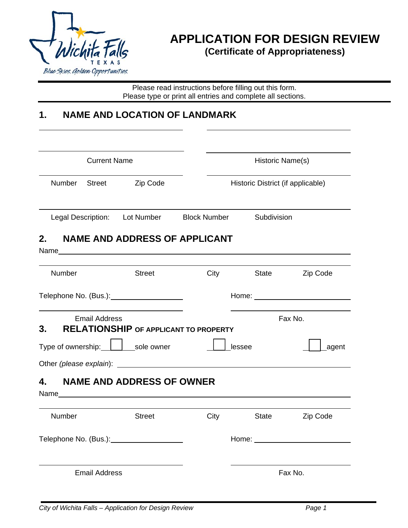

 $\overline{a}$ 

## **APPLICATION FOR DESIGN REVIEW (Certificate of Appropriateness)**

Please read instructions before filling out this form. Please type or print all entries and complete all sections.

### **1. NAME AND LOCATION OF LANDMARK**

| <b>Current Name</b> |                      |                                      |                                                        | Historic Name(s)                  |                     |  |
|---------------------|----------------------|--------------------------------------|--------------------------------------------------------|-----------------------------------|---------------------|--|
| Number              |                      | Street Zip Code                      |                                                        | Historic District (if applicable) |                     |  |
|                     |                      |                                      | Legal Description: Lot Number Block Number Subdivision |                                   |                     |  |
| 2.                  |                      | <b>NAME AND ADDRESS OF APPLICANT</b> |                                                        |                                   |                     |  |
| Number              |                      | <b>Street</b>                        |                                                        |                                   | City State Zip Code |  |
|                     |                      |                                      |                                                        |                                   |                     |  |
| 3.                  | <b>Email Address</b> |                                      | <b>RELATIONSHIP OF APPLICANT TO PROPERTY</b>           |                                   | Fax No.             |  |
|                     |                      | Type of ownership:     sole owner    | lessee                                                 |                                   | agent               |  |
|                     |                      |                                      |                                                        |                                   |                     |  |
| 4.                  |                      | <b>NAME AND ADDRESS OF OWNER</b>     |                                                        |                                   |                     |  |
| Number              |                      | <b>Street</b>                        | City                                                   | State                             | Zip Code            |  |
|                     |                      |                                      |                                                        |                                   |                     |  |
|                     | <b>Email Address</b> |                                      |                                                        |                                   | Fax No.             |  |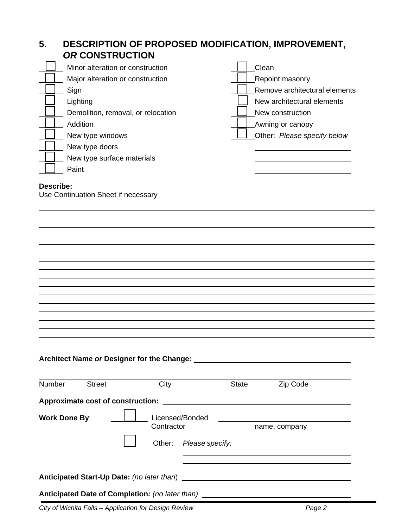# **5. DESCRIPTION OF PROPOSED MODIFICATION, IMPROVEMENT,**  *OR* **CONSTRUCTION**  Minor alteration or construction and clean construction Major alteration or construction Reposition Repoint masonry Sign Remove architectural elements **Example 2** Lighting New architectural elements Demolition, removal, or relocation New Lubber 2015 New construction **Addition** Addition Awning or canopy Addition Awning or canopy Australian Awning or canopy New type windows **Other:** *Please specify below* **Other:** *Please specify below* New type doors New type surface materials Paint **Describe:**  Use Continuation Sheet if necessary  $\overline{a}$

#### **Architect Name** *or* **Designer for the Change:**

 $\overline{a}$ 

| <b>Number</b>        | <b>Street</b> | City                                              |                 | <b>State</b>  | Zip Code |
|----------------------|---------------|---------------------------------------------------|-----------------|---------------|----------|
|                      |               | <b>Approximate cost of construction:</b>          |                 |               |          |
| <b>Work Done By:</b> |               | Contractor                                        | Licensed/Bonded | name, company |          |
|                      |               | Other:                                            |                 |               |          |
|                      |               |                                                   |                 |               |          |
|                      |               | <b>Anticipated Start-Up Date:</b> (no later than) |                 |               |          |
|                      |               | Anticipated Date of Completion: (no later than)   |                 |               |          |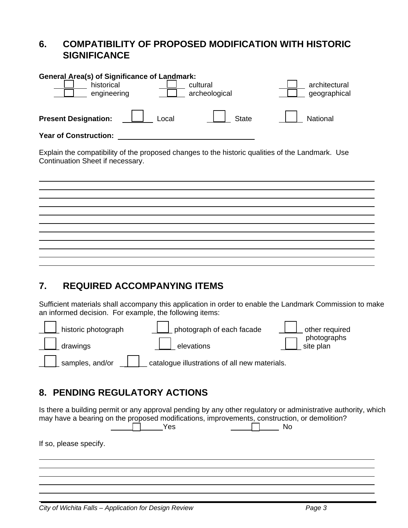#### **6. COMPATIBILITY OF PROPOSED MODIFICATION WITH HISTORIC SIGNIFICANCE**

### **7. REQUIRED ACCOMPANYING ITEMS**

 $\overline{a}$ 

 $\overline{a}$ 

Sufficient materials shall accompany this application in order to enable the Landmark Commission to make an informed decision. For example, the following items:



### **8. PENDING REGULATORY ACTIONS**

Is there a building permit or any approval pending by any other regulatory or administrative authority, which may have a bearing on the proposed modifications, improvements, construction, or demolition?  $\Box$  Yes  $\Box$  No If so, please specify.  $\overline{a}$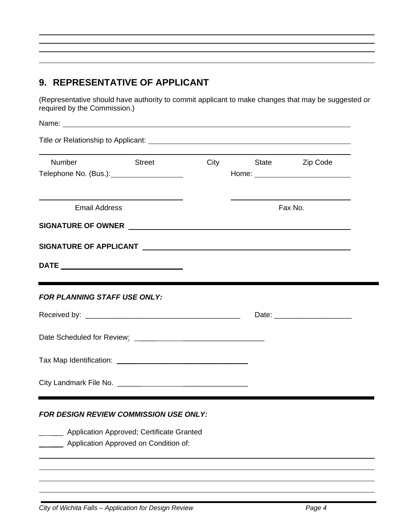### **9. REPRESENTATIVE OF APPLICANT**

 $\overline{a}$ 

 $\overline{a}$ 

 $\overline{a}$ 

(Representative should have authority to commit applicant to make changes that may be suggested *or* required by the Commission.)

| Title or Relationship to Applicant: Note that the state of the state of the state of the state of the state of                                                                                                                 |  |  |  |  |  |  |
|--------------------------------------------------------------------------------------------------------------------------------------------------------------------------------------------------------------------------------|--|--|--|--|--|--|
| Zip Code                                                                                                                                                                                                                       |  |  |  |  |  |  |
|                                                                                                                                                                                                                                |  |  |  |  |  |  |
| SIGNATURE OF OWNER CONTRACT CONTRACT CONTRACT OF OWNER CONTRACT OF STREET AND RESIDENCE OF OUR SERVICE OF STREET AND RESIDENCE OF OUR SERVICE OF OUR SERVICE OF OUR SERVICE OF OUR SERVICE OF OUR SERVICE OF OUR SERVICE OF OU |  |  |  |  |  |  |
|                                                                                                                                                                                                                                |  |  |  |  |  |  |
|                                                                                                                                                                                                                                |  |  |  |  |  |  |
|                                                                                                                                                                                                                                |  |  |  |  |  |  |
|                                                                                                                                                                                                                                |  |  |  |  |  |  |
|                                                                                                                                                                                                                                |  |  |  |  |  |  |
|                                                                                                                                                                                                                                |  |  |  |  |  |  |
|                                                                                                                                                                                                                                |  |  |  |  |  |  |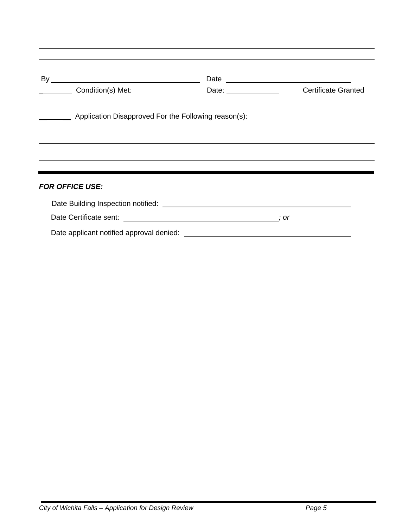| By |                                                      |                       |                            |
|----|------------------------------------------------------|-----------------------|----------------------------|
|    | Condition(s) Met:                                    | Date: _______________ | <b>Certificate Granted</b> |
|    | Application Disapproved For the Following reason(s): |                       |                            |
|    |                                                      |                       |                            |
|    |                                                      |                       |                            |
|    |                                                      |                       |                            |
|    |                                                      |                       |                            |
|    | <b>FOR OFFICE USE:</b>                               |                       |                            |
|    |                                                      |                       |                            |
|    |                                                      |                       |                            |

 $\overline{a}$